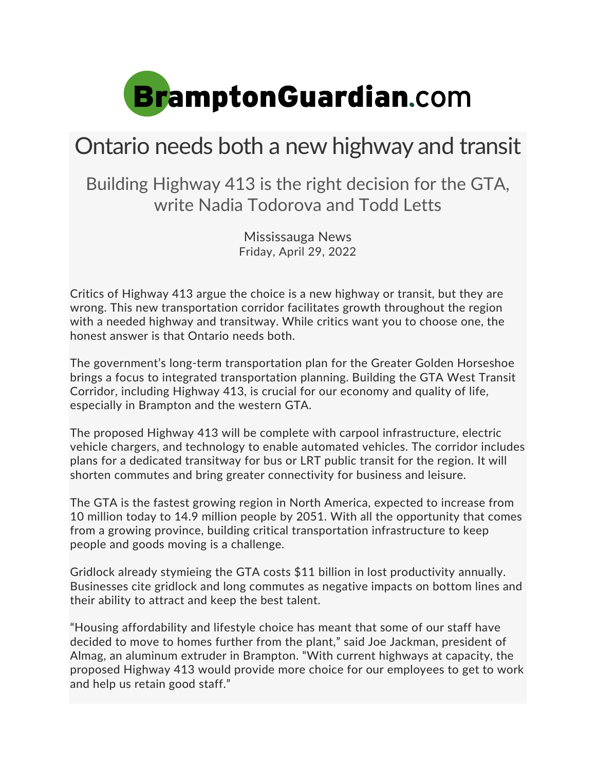

## Ontario needs both a new highway and transit

Building Highway 413 is the right decision for the GTA, write Nadia Todorova and Todd Letts

> Mississauga News Friday, April 29, 2022

Critics of Highway 413 argue the choice is a new highway or transit, but they are wrong. This new transportation corridor facilitates growth throughout the region with a needed highway and transitway. While critics want you to choose one, the honest answer is that Ontario needs both.

The government's long-term transportation plan for the Greater Golden Horseshoe brings a focus to integrated transportation planning. Building the GTA West Transit Corridor, including Highway 413, is crucial for our economy and quality of life, especially in Brampton and the western GTA.

The proposed Highway 413 will be complete with carpool infrastructure, electric vehicle chargers, and technology to enable automated vehicles. The corridor includes plans for a dedicated transitway for bus or LRT public transit for the region. It will shorten commutes and bring greater connectivity for business and leisure.

The GTA is the fastest growing region in North America, expected to increase from 10 million today to 14.9 million people by 2051. With all the opportunity that comes from a growing province, building critical transportation infrastructure to keep people and goods moving is a challenge.

Gridlock already stymieing the GTA costs \$11 billion in lost productivity annually. Businesses cite gridlock and long commutes as negative impacts on bottom lines and their ability to attract and keep the best talent.

"Housing affordability and lifestyle choice has meant that some of our staff have decided to move to homes further from the plant," said Joe Jackman, president of Almag, an aluminum extruder in Brampton. "With current highways at capacity, the proposed Highway 413 would provide more choice for our employees to get to work and help us retain good staff."